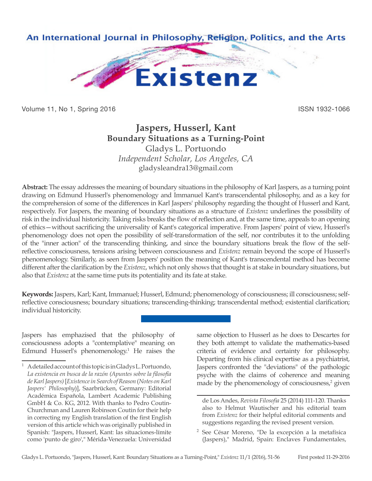

Volume 11, No 1, Spring 2016 **ISSN 1932-1066** 

## **Jaspers, Husserl, Kant Boundary Situations as a Turning-Point** Gladys L. Portuondo

*Independent Scholar, Los Angeles, CA* gladysleandra13@gmail.com

**Abstract:** The essay addresses the meaning of boundary situations in the philosophy of Karl Jaspers, as a turning point drawing on Edmund Husserl's phenomenology and Immanuel Kant's transcendental philosophy, and as a key for the comprehension of some of the differences in Karl Jaspers' philosophy regarding the thought of Husserl and Kant, respectively. For Jaspers, the meaning of boundary situations as a structure of *Existenz* underlines the possibility of risk in the individual historicity. Taking risks breaks the flow of reflection and, at the same time, appeals to an opening of ethics—without sacrificing the universality of Kant's categorical imperative. From Jaspers' point of view, Husserl's phenomenology does not open the possibility of self-transformation of the self, nor contributes it to the unfolding of the "inner action" of the transcending thinking, and since the boundary situations break the flow of the selfreflective consciousness, tensions arising between consciousness and *Existenz* remain beyond the scope of Husserl's phenomenology. Similarly, as seen from Jaspers' position the meaning of Kant's transcendental method has become different after the clarification by the *Existenz*, which not only shows that thought is at stake in boundary situations, but also that *Existenz* at the same time puts its potentiality and its fate at stake.

**Keywords:** Jaspers, Karl; Kant, Immanuel; Husserl, Edmund; phenomenology of consciousness; ill consciousness; selfreflective consciousness; boundary situations; transcending-thinking; transcendental method; existential clarification; individual historicity.

Jaspers has emphazised that the philosophy of consciousness adopts a "contemplative" meaning on Edmund Husserl's phenomenology.<sup>1</sup> He raises the same objection to Husserl as he does to Descartes for they both attempt to validate the mathematics-based criteria of evidence and certainty for philosophy. Departing from his clinical expertise as a psychiatrist, Jaspers confronted the "deviations" of the pathologic psyche with the claims of coherence and meaning made by the phenomenology of consciousness,<sup>2</sup> given

<sup>1</sup> A detailed account of this topic is in Gladys L. Portuondo, *La existencia en busca de la razón (Apuntes sobre la filosofía de Karl Jaspers)* [*Existence in Search of Reason* (*Notes on Karl Jaspers' Philosophy*)], Saarbrücken, Germany: Editorial Académica Española, Lambert Academic Publishing GmbH & Co. KG, 2012. With thanks to Pedro Coutin-Churchman and Lauren Robinson Coutin for their help in correcting my English translation of the first English version of this article which was originally published in Spanish: "Jaspers, Husserl, Kant: las situaciones-límite como 'punto de giro'," Mérida-Venezuela: Universidad

de Los Andes, *Revista Filosofia* 25 (2014) 111-120. Thanks also to Helmut Wautischer and his editorial team from *Existenz* for their helpful editorial comments and suggestions regarding the revised present version.

<sup>2</sup> See César Moreno, "De la excepción a la metafísica (Jaspers)," Madrid, Spain: Enclaves Fundamentales,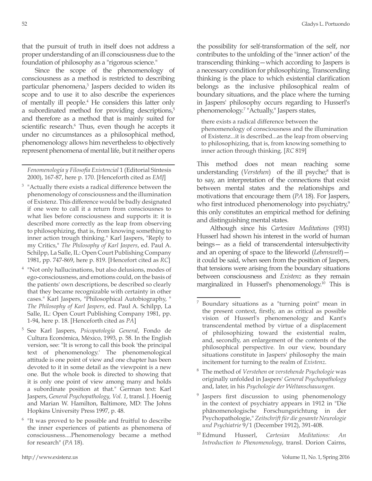that the pursuit of truth in itself does not address a proper understanding of an ill consciousness due to the foundation of philosophy as a "rigorous science."

Since the scope of the phenomenology of consciousness as a method is restricted to describing particular phenomena,<sup>3</sup> Jaspers decided to widen its scope and to use it to also describe the experiences of mentally ill people.4 He considers this latter only a subordinated method for providing descriptions, $5$ and therefore as a method that is mainly suited for scientific research.<sup>6</sup> Thus, even though he accepts it under no circumstances as a philosophical method, phenomenology allows him nevertheless to objectively represent phenomena of mental life, but it neither opens

*Fenomenología y Filosofía Existencial* 1 (Editorial Síntesis 2000), 167-87, here p. 170. [Henceforth cited as *EMJ*]

- <sup>3</sup> "Actually there exists a radical difference between the phenomenology of consciousness and the illumination of Existenz. This difference would be badly designated if one were to call it a return from consciousnes to what lies before consciousness and supports it: it is described more correctly as the leap from observing to philosophizing, that is, from knowing something to inner action trough thinking." Karl Jaspers, "Reply to my Critics," *The Philosophy of Karl Jaspers*, ed. Paul A. Schilpp, La Salle, IL: Open Court Publishing Company 1981, pp. 747-869, here p. 819. [Hencefort cited as *RC*]
- "Not only hallucinations, but also delusions, modes of ego-consciousness, and emotions could, on the basis of the patients' own descriptions, be described so clearly that they became recognizable with certainty in other cases." Karl Jaspers, "Philosophical Autobiography, " *The Philosophy of Karl Jaspers*, ed. Paul A. Schilpp, La Salle, IL: Open Court Publishing Company 1981, pp. 1-94, here p. 18. [Henceforth cited as *PA*]
- <sup>5</sup> See Karl Jaspers, *Psicopatología General*, Fondo de Cultura Económica, México, 1993, p. 58. In the English version, see: "It is wrong to call this book 'the principal text of phenomenology.' The phenomenological attitude is one point of view and one chapter has been devoted to it in some detail as the viewpoint is a new one. But the whole book is directed to showing that it is only one point of view among many and holds a subordinate position at that." German text: Karl Jaspers, *General Psychopathology, Vol. 1*, transl. J. Hoenig and Marian W. Hamilton, Baltimore, MD: The Johns Hopkins University Press 1997, p. 48.
- <sup>6</sup> "It was proved to be possible and fruitful to describe the inner experiences of patients as phenomena of consciousness....Phenomenology became a method for research" (*PA* 18).

the possibility for self-transformation of the self, nor contributes to the unfolding of the "inner action" of the transcending thinking—which according to Jaspers is a necessary condition for philosophizing. Transcending thinking is the place to which existential clarification belongs as the inclusive philosophical realm of boundary situations, and the place where the turning in Jaspers' philosophy occurs regarding to Husserl's phenomenology.7 "Actually," Jaspers states,

there exists a radical difference between the phenomenology of consciousness and the illumination of Existenz...it is described...as the leap from observing to philosophizing, that is, from knowing something to inner action through thinking. [*RC* 819]

This method does not mean reaching some understanding (*Verstehen*) of the ill psyche;<sup>8</sup> that is to say, an interpretation of the connections that exist between mental states and the relationships and motivations that encourage them (*PA* 18). For Jaspers, who first introduced phenomenology into psychiatry,<sup>9</sup> this only constitutes an empirical method for defining and distinguishing mental states.

Although since his *Cartesian Meditations* (1931) Husserl had shown his interest in the world of human beings— as a field of transcendental intersubjectivity and an opening of space to the lifeworld (*Lebenswelt*) it could be said, when seen from the position of Jaspers, that tensions were arising from the boundary situations between consciousness and *Existenz* as they remain marginalized in Husserl's phenomenology.10 This is

<sup>7</sup> Boundary situations as a "turning point" mean in the present context, firstly, an as critical as possible vision of Husserl's phenomenology and Kant's transcendental method by virtue of a displacement of philosophizing toward the existential realm, and, secondly, an enlargement of the contents of the philosophical perspective. In our view, boundary situations constitute in Jaspers' philosophy the main incitement for turning to the realm of *Existenz*.

<sup>8</sup> The method of *Verstehen* or *verstehende Psychologie* was originally unfolded in Jaspers' *General Psychopathology* and, later, in his *Psychologie der Weltanschauungen*.

<sup>&</sup>lt;sup>9</sup> Jaspers first discussion to using phenomenology in the context of psychiatry appears in 1912 in "Die phänomenologische Forschungsrichtung in der Psychopathologie," *Zeitschrift für die gesamte Neurologie und Psychiatrie* 9/1 (December 1912), 391-408.

<sup>10</sup> Edmund Husserl, *Cartesian Meditations: An Introduction to Phenomenology*, transl. Dorion Cairns,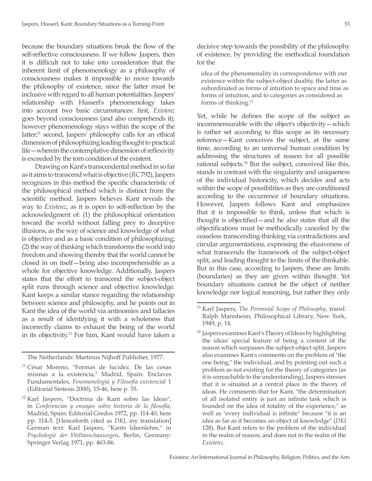because the boundary situations break the flow of the self-reflective consciousness. If we follow Jaspers, then it is difficult not to take into consideration that the inherent limit of phenomenology as a philosophy of consciousness makes it impossible to move towards the philosophy of existence, since the latter must be inclusive with regard to all human potentialities. Jaspers' relationship with Husserl's phenomenology takes into account two basic circumstances: first, *Existenz*  goes beyond consciousness (and also comprehends it), however phenomenology stays within the scope of the latter;<sup>11</sup> second, Jaspers' philosophy calls for an ethical dimension of philosophizing leading thought to practical life—wherein the contemplative dimension of reflexivity is exceeded by the torn condition of the existent.

Drawing on Kant's transcendental method in so far as it aims to transcend what is objective (*RC* 792), Jaspers recognizes in this method the specific characteristic of the philosophical method which is distinct from the scientific method. Jaspers believes Kant reveals the way to *Existenz*, as it is open to self-reflection by the acknowledgment of: (1) the philosophical orientation toward the world without falling prey to deceptive illusions, as the way of science and knowledge of what is objective and as a basic condition of philosophizing; (2) the way of thinking which transforms the world into freedom and showing thereby that the world cannot be closed in on itself—being also incomprehensible as a whole for objective knowledge. Additionally, Jaspers states that the effort to transcend the subject-object split runs through science and objective knowledge. Kant keeps a similar stance regarding the relationship between science and philosophy, and he points out in Kant the idea of the world via antinomies and fallacies as a result of identifying it with a wholeness that incorrectly claims to exhaust the being of the world in its objectivity.12 For him, Kant would have taken a

The Netherlands: Martinus Nijhoff Publisher, 1977.

decisive step towards the possibility of the philosophy of existence, by providing the methodical foundation for the

idea of the phenomenality in correspondence with our existence within the subject-object duality, the latter as subordinated as forms of intuition to space and time as forms of intuition, and to categories as considered as forms of thinking.13

Yet, while he defines the scope of the subject as incommensurable with the object's objectivity—which is rather set according to this scope as its necessary reference—Kant conceives the subject, at the same time, according to an universal human condition by addressing the structures of reason for all possible rational subjects.14 But the subject, conceived like this, stands in contrast with the singularity and uniqueness of the individual historicity, which decides and acts within the scope of possibilities as they are conditioned according to the occurrence of boundary situations. However, Jaspers follows Kant and emphasizes that it is impossible to think, unless that which is thought is objectified—and he also states that all the objectifications must be methodically canceled by the ceaseless transcending-thinking via contradictions and circular argumentations, expressing the elusiveness of what transcends the framework of the subject-object split, and leading thought to the limits of the thinkable. But in this case, according to Jaspers, these are limits (boundaries) as they are given within thought. Yet boundary situations cannot be the object of neither knowledge nor logical reasoning, but rather they only

<sup>11</sup> César Moreno, "Formas de lucidez. De las cosas mismas a la existencia," Madrid, Spain: Enclaves Fundamentales, *Fenomenología y Filosofía existencial* 1 (Editorial Síntesis 2000), 15-46, here p. 35.

<sup>12</sup> Karl Jaspers, "Doctrina de Kant sobre las Ideas", in *Conferencias y ensayos sobre historia de la filosofía*, Madrid, Spain: Editorial Gredos 1972, pp. 114-40, here pp. 114-5. [Henceforth cited as *DKI*, my translation] German text: Karl Jaspers, "Kants Ideenlehre," in *Psychologie der Weltanschauungen*, Berlin, Germany: Springer Verlag 1971, pp. 463-86.

<sup>13</sup> Karl Jaspers, *The Perennial Scope of Philosophy*, transl. Ralph Mannheim, Philosophical Library, New York, 1949, p. 14.

<sup>&</sup>lt;sup>14</sup> Jaspers examines Kant's Theory of Ideas by highlighting the ideas' special feature of being a content of the reason which surpasses the subject-object split. Jaspers also examines Kant's comments on the problem of "the one being," the individual, and by pointing out such a problem as not existing for the theory of categories (as it is unreachable to the understanding), Jaspers stresses that it is situated at a central place in the theory of ideas. He comments that for Kant, "the determination of all isolated entity is just an infinite task which is founded on the idea of totality of the experience," as well as "every individual is infinite" because "it is an idea as far as it becomes an object of knowledge" (*DKI* 128). But Kant refers to the problem of the individual in the realm of reason, and does not in the realm of the *Existenz*.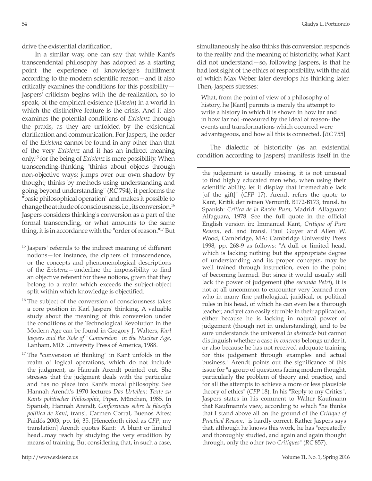drive the existential clarification.

In a similar way, one can say that while Kant's transcendental philosophy has adopted as a starting point the experience of knowledge's fulfillment according to the modern scientific reason—and it also critically examines the conditions for this possibility— Jaspers' criticism begins with the de-realization, so to speak, of the empirical existence (*Dasein*) in a world in which the distinctive feature is the crisis. And it also examines the potential conditions of *Existenz* through the praxis, as they are unfolded by the existential clarification and communication. For Jaspers, the order of the *Existenz* cannot be found in any other than that of the very *Existenz* and it has an indirect meaning only,15 for the being of *Existenz* is mere possibility. When transcending-thinking "thinks about objects through non-objective ways; jumps over our own shadow by thought; thinks by methods using understanding and going beyond understanding" (*RC* 794), it performs the "basic philosophical operation" and makes it possible to change the attitude of consciousness, i.e., its conversion.16 Jaspers considers thinking's conversion as a part of the formal transcending, or what amounts to the same thing, it is in accordance with the "order of reason."17 But

simultaneously he also thinks this conversion responds to the reality and the meaning of historicity, what Kant did not understand—so, following Jaspers, is that he had lost sight of the ethics of responsibility, with the aid of which Max Weber later develops his thinking later. Then, Jaspers stresses:

What, from the point of view of a philosophy of history, he [Kant] permits is merely the attempt to write a history in which it is shown in how far and in how far not -measured by the ideal of reason- the events and transformations which occurred were advantageous, and how all this is connected. [*RC* 755]

The dialectic of historicity (as an existential condition according to Jaspers) manifests itself in the

the judgement is usually missing, it is not unusual to find highly educated men who, when using their scientific ability, let it display that irremediable lack [of the gift]" (*CFP* 17). Arendt refers the quote to Kant, Kritik der reinen Vernunft, B172-B173, transl. to Spanish: *Crítica de la Razón Pura*, Madrid: Alfaguara: Alfaguara, 1978. See the full quote in the official English version in: Immanuel Kant, *Critique of Pure Reason*, ed. and transl. Paul Guyer and Allen W. Wood, Cambridge, MA: Cambridge University Press 1998, pp. 268-9 as follows: "A dull or limited head, which is lacking nothing but the appropriate degree of understanding and its proper concepts, may be well trained through instruction, even to the point of becoming learned. But since it would usually still lack the power of judgement (the *secunda Petri*), it is not at all uncommon to encounter very learned men who in many fine pathological, juridical, or political rules in his head, of which he can even be a thorough teacher, and yet can easily stumble in their application, either because he is lacking in natural power of judgement (though not in understanding), and to be sure understands the universal *in abstracto* but cannot distinguish whether a case *in concreto* belongs under it, or also because he has not received adequate training for this judgement through examples and actual business." Arendt points out the significance of this issue for "a group of questions facing modern thought, particularly the problem of theory and practice, and for all the attempts to achieve a more or less plausible theory of ethics" (*CFP* 18). In his "Reply to my Critics", Jaspers states in his comment to Walter Kaufmann that Kaufmann's view, according to which "he thinks that I stand above all on the ground of the *Critique of Practical Reason*," is hardly correct. Rather Jaspers says that, although he knows this work, he has "repeatedly and thoroughly studied, and again and again thought through, only the other two *Critiques*" (*RC* 857).

<sup>&</sup>lt;sup>15</sup> Jaspers' referrals to the indirect meaning of different notions—for instance, the ciphers of transcendence, or the concepts and phenomenological descriptions of the *Existenz*—underline the impossibility to find an objective referent for these notions, given that they belong to a realm which exceeds the subject-object split within which knowledge is objectified.

<sup>&</sup>lt;sup>16</sup> The subject of the conversion of consciousness takes a core position in Karl Jaspers' thinking. A valuable study about the meaning of this conversion under the conditions of the Technological Revolution in the Modern Age can be found in Gregory J. Walters, *Karl Jaspers and the Role of "Conversion" in the Nuclear Age*, Lanham, MD: University Press of America, 1988.

<sup>&</sup>lt;sup>17</sup> The "conversion of thinking" in Kant unfolds in the realm of logical operations, which do not include the judgment, as Hannah Arendt pointed out. She stresses that the judgment deals with the particular and has no place into Kant's moral philosophy. See Hannah Arendt's 1970 lectures *Das Urteilen: Texte zu Kants politischer Philosophie*, Piper, München, 1985. In Spanish, Hannah Arendt, *Conferencias sobre la filosofía política de Kant*, transl. Carmen Corral, Buenos Aires: Paidós 2003, pp. 16, 35. [Henceforth cited as *CFP*, my translation] Arendt quotes Kant: "A blunt or limited head...may reach by studying the very erudition by means of training. But considering that, in such a case,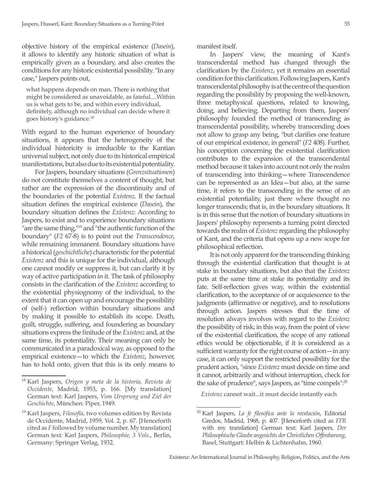objective history of the empirical existence (*Dasein*), it allows to identify any historic situation of what is empirically given as a boundary, and also creates the conditions for any historic existential possibility. "In any case," Jaspers points out,

what happens depends on man. There is nothing that might be considered as unavoidable, as fateful....Within us is what gets to be, and within every individual, definitely, although no individual can decide where it goes history's guidance.18

With regard to the human experience of boundary situations, it appears that the heterogeneity of the individual historicity is irreducible to the Kantian universal subject, not only due to its historical empirical manifestations, but also due to its existential potentiality.

For Jaspers, boundary situations (*Grenzsituationen*) do not constitute themselves a content of thought, but rather are the expression of the discontinuity and of the boundaries of the potential *Existenz*. If the factual situation defines the empirical existence (*Dasein*), the boundary situation defines the *Existenz*: According to Jaspers, to exist and to experience boundary situations "are the same thing,"<sup>19</sup> and "the authentic function of the boundary" (*F2* 67-8) is to point out the *Transcendence*, while remaining immanent. Boundary situations have a historical (*geschichtliche*) characteristic for the potential *Existenz* and this is unique for the individual, although one cannot modify or suppress it, but can clarify it by way of active participation in it. The task of philosophy consists in the clarification of the *Existenz* according to the existential physiognomy of the individual, to the extent that it can open up and encourage the possibility of (self-) reflection within boundary situations and by making it possible to establish its scope. Death, guilt, struggle, suffering, and foundering as boundary situations express the finitude of the *Existenz* and, at the same time, its potentiality. Their meaning can only be communicated in a paradoxical way, as opposed to the empirical existence—to which the *Existenz*, however, has to hold onto, given that this is its only means to

manifest itself.

In Jaspers' view, the meaning of Kant's transcendental method has changed through the clarification by the *Existenz*, yet it remains an essential condition for this clarification. Following Jaspers, Kant's transcendental philosophy is at the centre of the question regarding the possibility by proposing the well-known, three metaphysical questions, related to knowing, doing, and believing. Departing from them, Jaspers' philosophy founded the method of transcending as transcendental possibility, whereby transcending does not allow to grasp any being, "but clarifies one feature of our empirical existence, in general" (*F2* 408). Further, his conception concerning the existential clarification contributes to the expansion of the transcendental method because it takes into account not only the realm of transcending into thinking—where Transcendence can be represented as an Idea—but also, at the same time, it refers to the transcending in the sense of an existential potentiality, just there where thought no longer transcends; that is, in the boundary situations. It is in this sense that the notion of boundary situations in Jaspers' philosophy represents a turning point directed towards the realm of *Existenz* regarding the philosophy of Kant, and the criteria that opens up a new scope for philosophical reflection.

It is not only apparent for the transcending thinking through the existential clarification that thought is at stake in boundary situations, but also that the *Existenz* puts at the same time at stake its potentiality and its fate. Self-reflection gives way, within the existential clarification, to the acceptance of or acquiescence to the judgments (affirmative or negative), and to resolutions through action. Jaspers stresses that the time of resolution always involves with regard to the *Existenz*  the possibility of risk; in this way, from the point of view of the existential clarification, the scope of any rational ethics would be objectionable, if it is considered as a sufficient warranty for the right course of action—in any case, it can only support the restricted possibility for the prudent action, "since *Existenz* must decide on time and it cannot, arbitrarily and without interruption, check for the sake of prudence", says Jaspers, as "time compels":20

*Existenz* cannot wait...it must decide instantly each

<sup>18</sup> Karl Jaspers, *Origen y meta de la historia, Revista de Occidente*, Madrid, 1953, p. 166. [My translation] German text: Karl Jaspers, *Vom Ursprung und Ziel der Geschichte*, München: Piper, 1949.

<sup>19</sup> Karl Jaspers, *Filosofía*, two volumes edition by Revista de Occidente, Madrid, 1959, Vol. 2, p. 67. [Henceforth cited as *F* followed by volume number. My translation] German text: Karl Jaspers, *Philosophie, 3 Vols.*, Berlin, Germany: Springer Verlag, 1932.

<sup>20</sup> Karl Jaspers, *La fe filosófica ante la revelación*, Editorial Gredos, Madrid, 1968, p. 407. [Henceforth cited as *FFR* with my translation] German text: Karl Jaspers, *Der Philosophische Glaube angesichts der Christlichen Offenbarung*, Basel, Stuttgart: Helbin & Lichtenhahn, 1960.